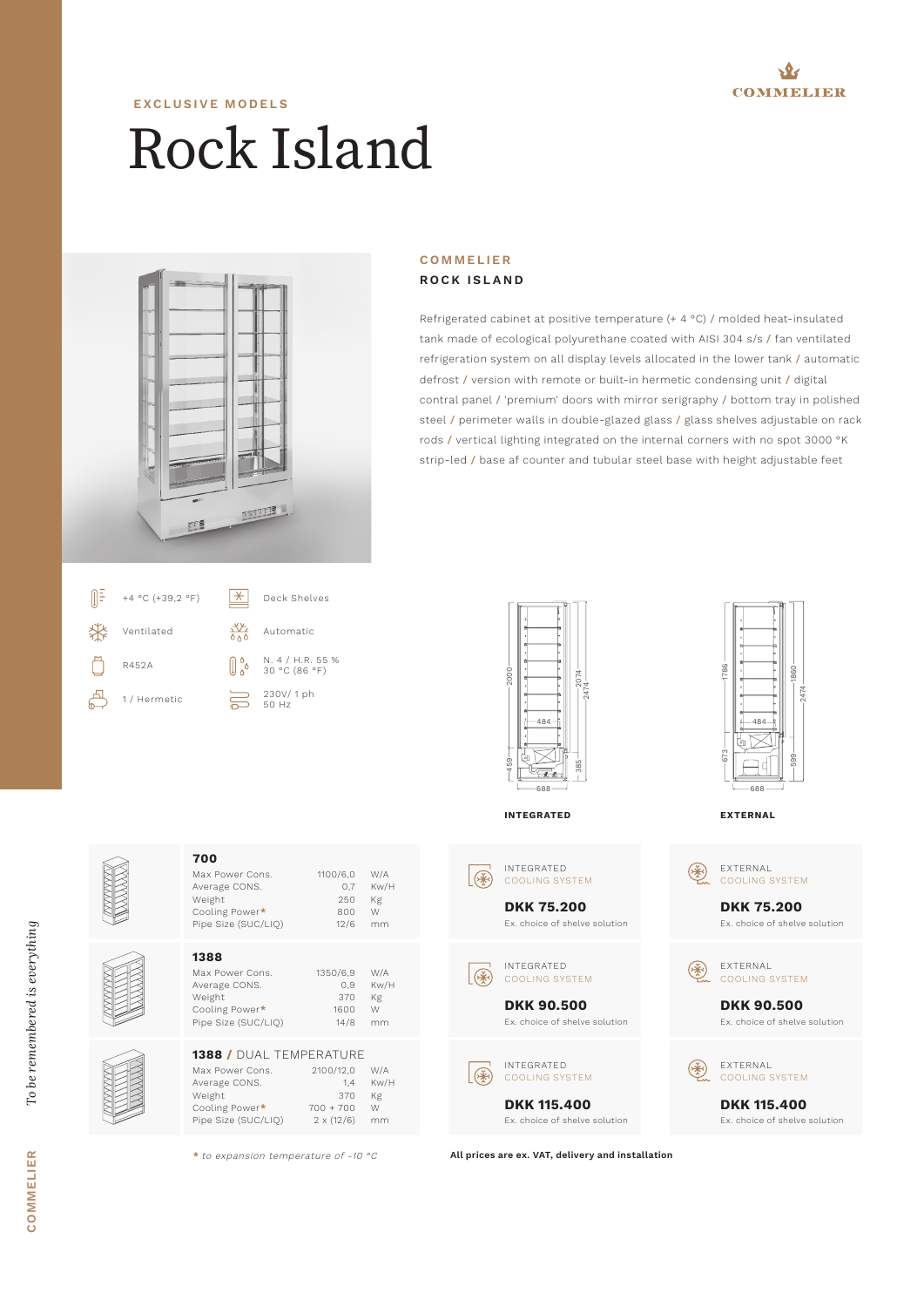

## Rock Island **EXCLUSIVE MODELS**



## **COMMELIER ROCK ISLAND**

Refrigerated cabinet at positive temperature (+ 4 °C) / molded heat-insulated tank made of ecological polyurethane coated with AISI 304 s/s / fan ventilated refrigeration system on all display levels allocated in the lower tank / automatic defrost / version with remote or built-in hermetic condensing unit / digital contral panel / 'premium' doors with mirror serigraphy / bottom tray in polished steel / perimeter walls in double-glazed glass / glass shelves adjustable on rack rods / vertical lighting integrated on the internal corners with no spot 3000 °K strip-led / base af counter and tubular steel base with height adjustable feet



**700**





Ex. choice of shelve solution



Ex. choice of shelve solution

2474

**COMMELIER** *To be remembered is everything*

COMMELIER

To be remembered is everything



Average CONS. 0,7 Kw/H Weight 250<br>Cooling Power\* 2600 Cooling Power\* 200<br>Pipe Size (SUC/LIQ) 12/6 Pipe Size (SUC/LIQ) 12/6 mm **1388** Max Power Cons. 1350/6,9 W/A<br>Average CONS. 0,9 Kw/H Average CONS. 0,9 Kw/H Weight 370 Kg<br>Cooling Power\* 1600 W Cooling Power\* Pipe Size (SUC/LIQ) 14/8 mm **1388 /** DUAL TEMPERATURE Max Power Cons. 2100/12,0 W/A<br>Average CONS. 1,4 Kw/H<br>Weight 370 Kg Average CONS. Weight 370 Kg<br>Cooling Power\* 700 + 700 W Cooling Power**\*** 700 + 700 W Pipe Size (SUC/LIQ) 2 x (12/6) mm

Max Power Cons. 1100/6,0 W/A

**\*** to expansion temperature of -10 °C

**All prices are ex. VAT, delivery and installation**